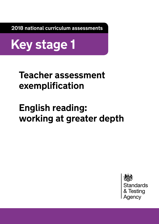**2018 national curriculum assessments**

# **Key stage 1**

## **Teacher assessment exemplification**

## **English reading: working at greater depth**

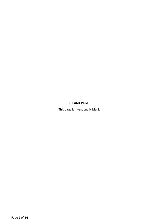#### **[BLANK PAGE]**

This page is intentionally blank.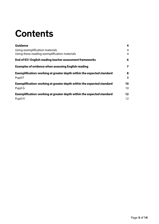## **Contents**

| <b>Guidance</b>                                                                  | 4               |
|----------------------------------------------------------------------------------|-----------------|
| Using exemplification materials<br>Using these reading exemplification materials | 4<br>4          |
| End of KS1 English reading teacher assessment frameworks                         | 6               |
| <b>Examples of evidence when assessing English reading</b>                       | 7               |
| <b>Exemplification: working at greater depth within the expected standard</b>    | 8               |
| Pupil F                                                                          | 8               |
| Exemplification: working at greater depth within the expected standard           | 10              |
| Pupil G                                                                          | 10 <sup>°</sup> |
| <b>Exemplification: working at greater depth within the expected standard</b>    | 12              |
| Pupil H                                                                          | 12              |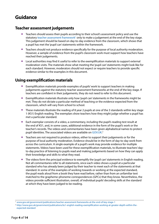## <span id="page-3-0"></span>**Guidance**

### **Teacher assessment judgements**

- Teachers should assess their pupils according to their school's assessment policy and use the statutory teacher assessment framework<sup>1</sup> only to make a judgement at the end of the key stage. This judgement should be based on day-to-day evidence from the classroom, which shows that a pupil has met the 'pupil can' statements within the framework.
- Teachers should not produce evidence specifically for the purpose of local authority moderation. However, a sample of evidence from the pupil's classroom work must support how teachers have reached their judgements.
- Local authorities may find it useful to refer to the exemplification materials to support external moderation visits. The materials show what meeting the 'pupil can' statements might look like for each standard. However, moderators should not expect or require teachers to provide specific evidence similar to the examples in this document.

## **Using exemplification materials**

- Exemplification materials provide examples of pupils' work to support teachers in making judgements against the statutory teacher assessment frameworks at the end of the key stage. If teachers are confident in their judgements, they do not need to refer to this document.
- Exemplification materials illustrate only how 'pupil can' statements in the frameworks might be met. They do not dictate a particular method of teaching or the evidence expected from the classroom, which will vary from school to school.
- These materials illustrate the reading of 8 year 2 pupils at one of the 3 standards within key stage 1 (KS1) English reading. The exemplars show teachers how they might judge whether a pupil has met a particular standard.
- Each exemplar consists of a video, a commentary, including the pupil's reading test result at the end of KS1, and, in some cases, additional evidence in the form of the pupil's work or the teacher's records. The videos and commentaries have been given alphabetical names to protect pupil identities. The associated videos are available on [GOV.UK](http://www.gov.uk/government/publications/ks1-english-reading-exemplification-working-at-greater-depth-within-the-expected-standard).<sup>2</sup>
- Teachers are not required to produce videos, either to support their judgements or for the purpose of local authority moderation. Evidence should be in the form of day-to-day work from across the curriculum. A single example of a pupil's work may provide evidence for multiple statements. Videos have been used for these exemplification materials, to illustrate teachers' dayto-day practice of listening to pupils read and making judgements based on how they can apply their knowledge and skills to what they read.
- The videos form the principal evidence to exemplify the 'pupil can' statements in English reading. Not all commentaries refer to all statements, since each video shows a pupil at a particular standard who has already been judged by their teacher to meet each of the statements at that standard. In some of the examples of working towards or working at the expected standard, the pupil reads aloud from a book they have read before, rather than from an unfamiliar text matched to the grapheme-phoneme correspondences (GPCs) that they know. Nevertheless, the videos provide sufficient illustration, overall, of individual pupils' decoding skills at the standard at which they have been judged to be reading.

<sup>1</sup> [www.gov.uk/government/publications/teacher-assessment-frameworks-at-the-end-of-key-stage-1](http://www.gov.uk/government/publications/teacher-assessment-frameworks-at-the-end-of-key-stage-1)

<sup>2</sup> [http://www.gov.uk/government/publications/ks1-english-reading-exemplification-working-at-greater-depth-within-the](http://www.gov.uk/government/publications/ks1-english-reading-exemplification-working-at-greater-dep)[expected-standard](http://www.gov.uk/government/publications/ks1-english-reading-exemplification-working-at-greater-dep)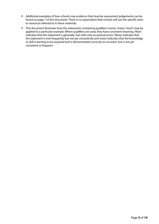- Additional examples of how schools may evidence their teacher assessment judgements can be found on page 7 of this document. There is no expectation that schools will use the specific texts or resources referred to in these materials.
- This document illustrates how the statements containing qualifiers ('some', 'many', 'most') may be applied to a particular example. Where qualifiers are used, they have consistent meaning. 'Most' indicates that the statement is generally met with only occasional errors. 'Many' indicates that the statement is met frequently but not yet consistently and 'some' indicates that the knowledge or skill is starting to be acquired and is demonstrated correctly on occasion, but is not yet consistent or frequent.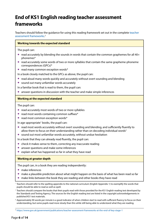## <span id="page-5-0"></span>**End of KS1 English reading teacher assessment frameworks**

Teachers should follow the [guidance](https://www.gov.uk/government/publications/teacher-assessment-frameworks-at-the-end-of-key-stage-1) for using this reading framework set out in the complete teacher [assessment framework](https://www.gov.uk/government/publications/teacher-assessment-frameworks-at-the-end-of-key-stage-1)s. 3

#### **Working towards the expected standard**

The pupil can:

- read accurately by blending the sounds in words that contain the common graphemes for all  $40+$ phonemes\*
- read accurately some words of two or more syllables that contain the same grapheme-phoneme correspondences (GPCs)\*
- read many common exception words\*

In a book closely matched to the GPCs as above, the pupil can:

- read aloud many words quickly and accurately without overt sounding and blending
- sound out many unfamiliar words accurately

In a familiar book that is read to them, the pupil can:

• answer questions in discussion with the teacher and make simple inferences

#### **Working at the expected standard**

The pupil can:

- read accurately most words of two or more syllables
- read most words containing common suffixes\*
- read most common exception words\*

In age-appropriate<sup>1</sup> books, the pupil can:

- read most words accurately without overt sounding and blending, and sufficiently fluently to allow them to focus on their understanding rather than on decoding individual words<sup>2</sup>
- sound out most unfamiliar words accurately, without undue hesitation

In a book that they can already read fluently, the pupil can:

- check it makes sense to them, correcting any inaccurate reading
- answer questions and make some inferences
- explain what has happened so far in what they have read

#### **Working at greater depth**

The pupil can, in a book they are reading independently:

- make inferences
- make a plausible prediction about what might happen on the basis of what has been read so far
- make links between the book they are reading and other books they have read

- <sup>1</sup> Teachers should compare the books that their pupils read with those provided for the KS1 English reading test developed by the Standards and Testing Agency. The sources for the English reading test are listed in the copyright acknowledgements in published KS1 test materials.
- <sup>2</sup> Approximately 90 words per minute is a good indicator of when children start to read with sufficient fluency to focus on their understanding, but some pupils read more slowly than this while still being able to understand what they are reading.

Teachers should refer to the spelling appendix to the national curriculum (English Appendix 1) to exemplify the words that pupils should be able to read as well as spell.

<sup>3</sup> <https://www.gov.uk/government/publications/teacher-assessment-frameworks-at-the-end-of-key-stage-1>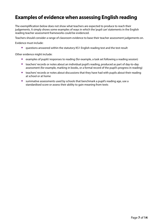## <span id="page-6-0"></span>**Examples of evidence when assessing English reading**

The exemplification below does not show what teachers are expected to produce to reach their judgements. It simply shows some examples of ways in which the 'pupil can' statements in the English reading teacher assessment frameworks could be evidenced.

Teachers should consider a range of classroom evidence to base their teacher assessment judgements on.

Evidence must include:

• questions answered within the statutory KS1 English reading test and the test result

Other evidence might include:

- examples of pupils' responses to reading (for example, a task set following a reading session)
- teachers' records or notes about an individual pupil's reading, produced as part of day-to-day assessment (for example, marking in books, or a formal record of the pupil's progress in reading)
- teachers' records or notes about discussions that they have had with pupils about their reading at school or at home
- summative assessments used by schools that benchmark a pupil's reading age, use a standardised score or assess their ability to gain meaning from texts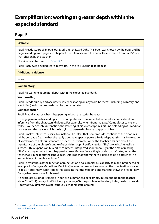## <span id="page-7-0"></span>**Exemplification: working at greater depth within the expected standard**

### **Pupil F**

#### **Example** Pupil F reads 'George's Marvellous Medicine' by Roald Dahl. This book was chosen by the pupil and he begins reading from page 7 in chapter 1. He is familiar with the book. He also reads from Dahl's 'Esio Trot', chosen by the teacher.

The video can be found on [GOV.UK.](http://www.gov.uk/government/publications/ks1-english-reading-exemplification-working-at-greater-depth-within-the-expected-standard) 4

Pupil F achieved a scaled score above 100 in the KS1 English reading test.

#### **Additional evidence**

None.

#### **Commentary**

Pupil F is working at greater depth within the expected standard.

#### **Word reading**

Pupil F reads quickly and accurately, rarely hesitating on any word he meets, including 'wizardry' and 'electrified', an important verb that he discusses later.

#### **Comprehension**

Pupil F rapidly grasps what is happening in both the stories he reads.

His engagement in his reading and his comprehension are reflected in his intonation as he draws inference from the characters' dialogue. For example, when Grandma says, "Come closer to me and I will tell you secrets," his intonation, the lowering of his voice, captures his understanding of Grandma's motives and the way in which she is trying to persuade George to approach her.

Pupil F makes inferences easily. For instance, he infers that Grandma's descriptions of the creatures might persuade George that she really does have special powers. He is adept at using his knowledge of vocabulary to help substantiate his ideas. For example, when the teacher asks him about the significance of the phrase 'a tingle of electricity', pupil F swiftly replies, "She's a witch. She really is a witch." This expands on his earlier comment, interjected spontaneously at the time of reading: "She's starting to make things happen because George feels a tingle of electricity." Later, when the teacher asks him about the language in 'Esio Trot' that "shows there is going to be a difference", he immediately pinpoints 'electrified'.

Pupil F's awareness of the function of punctuation also supports his capacity to make inferences. For example, in 'George's Marvellous Medicine', he says he does not know what the punctuation is called (ellipsis), "but I know what it does". He explains that the 'stopping and starting' shows the reader how George becomes more frightened.

He expresses his understanding in concise summaries. For example, in responding to the teacher about 'Esio Trot', he says that "Mr Hoppy's courage" is the problem in the story. Later, he describes Mr Hoppy as 'day-dreaming', a perceptive view of his state of mind.

<sup>4</sup> [http://www.gov.uk/government/publications/ks1-english-reading-exemplification-working-at-greater-depth-within-the](http://www.gov.uk/government/publications/ks1-english-reading-exemplification-working-at-greater-dep)[expected-standard](http://www.gov.uk/government/publications/ks1-english-reading-exemplification-working-at-greater-dep)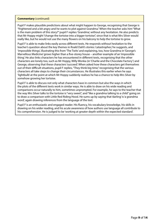#### **Commentary** (continued)

Pupil F makes plausible predictions about what might happen to George, recognising that George is "frightened and a bit angry and he wants to plot against Grandma." When the teacher asks him "What is the main problem of this story?" pupil F replies 'Grandma', without any hesitation. He also predicts that Mr Hoppy might "change the tortoise into a bigger tortoise", since that is what Mrs Silver would really like, but he would not use the many flowers on his balcony to help the tortoise to grow.

Pupil F is able to make links easily across different texts. He responds without hesitation to the teacher's question about the key themes in Roald Dahl's stories: 'catastrophes,' he suggests, and 'impossible things', illustrating this from 'The Twits' and explaining, too, how Grandma in 'George's Marvellous Medicine' grows higher than a five-storey house – another example of an 'impossible thing'. He also links characters he has encountered in different texts, recognising that the other characters are lonely too, such as Mr Hoppy, Willy Wonka (in 'Charlie and the Chocolate Factory') and George, observing that these characters 'succeed'. When asked how these characters get themselves out of their difficult situations, pupil F replies, "They think big time," recognising that the various characters all take steps to change their circumstances. He illustrates this earlier when he says 'lightbulb' at the point at which Mr Hoppy suddenly realises he has a chance to help Mrs Silver by somehow growing her tortoise.

Pupil F is able to discuss not only what characters have in common but also the ways in which the plots of the different texts work in similar ways. He is able to draw on his wide reading and comparisons occur naturally to him, sometimes unprompted. For example, he says to the teacher that the way Mrs Silver talks to the tortoise is "very sweet", and "like a grandma talking to a child" going on to draw a comparison with Little Red Riding Hood. He sums up by saying that 'darling' is 'a grandma word', again drawing inferences from the language of the text.

Pupil F is an enthusiastic and engaged reader. His fluency, his vocabulary knowledge, his skills in drawing on his wider reading, and his acute awareness of how authors use language all contribute to his comprehension. He is judged to be 'working at greater depth within the expected standard'.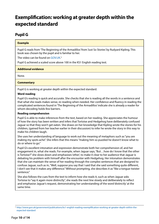## <span id="page-9-0"></span>**Exemplification: working at greater depth within the expected standard**

### **Pupil G**

## **Example** Pupil G reads from 'The Beginning of the Armadillos' from 'Just So Stories' by Rudyard Kipling. This book was chosen by the pupil and is familiar to her. The video can be found on [GOV.UK.](http://www.gov.uk/government/publications/ks1-english-reading-exemplification-working-at-greater-depth-within-the-expected-standard) 5 Pupil G achieved a scaled score above 100 in the KS1 English reading test. **Additional evidence**

None.

**Commentary**

Pupil G is working at greater depth within the expected standard.

#### **Word reading**

Pupil G's reading is quick and accurate. She checks that she is reading all the words in a sentence and that what she reads makes sense, re-reading when needed. Her confidence and fluency in reading the complicated sentences found in 'The Beginning of the Armadillos' indicate she is already a reader for whom decoding holds few barriers.

#### **Reading comprehension**

Pupil G is able to make inferences from the text, based on her reading. She appreciates the humour of how the story has been written and infers that Tortoise and Hedgehog have deliberately confused Jaguar so that they won't get eaten. She draws on her knowledge that Kipling wrote the stories for his children, (gained from her teacher earlier in their discussion) to infer he wrote the story in this way to make his children laugh.

She uses her understanding of language to work out the meaning of metaphors such as "you are making my spots ache". She infers that this means "making him so puzzled he doesn't know what to do or where to go."

Pupil G's excellent intonation and expression demonstrate both her comprehension of, and her engagement in, what she reads. For example, when Jaguar says, "But…how do I know that the other is Tortoise?" she slows down and emphasises 'other', to make it clear to her audience that Jaguar is debating his problem with himself after the encounter with Hedgehog. Her intonation demonstrates that she can maintain the sense of her reading through the complex sentences that are designed to confuse Jaguar, such as in, "Well, suppose you say that I said that she said something quite different, I don't see that it makes any difference." Without prompting, she describes it as "like a tongue-twister sentence."

She also follows the cues from the text to inform how she reads it, such as when Jaguar asks Tortoise to "say it again more distinctly", she reads the next line slowly and deliberately to reflect and emphasise Jaguar's request, demonstrating her understanding of the word 'distinctly' at the same time.

<sup>5</sup> [http://www.gov.uk/government/publications/ks1-english-reading-exemplification-working-at-greater-depth-within-the](http://www.gov.uk/government/publications/ks1-english-reading-exemplification-working-at-greater-dep)[expected-standard](http://www.gov.uk/government/publications/ks1-english-reading-exemplification-working-at-greater-dep)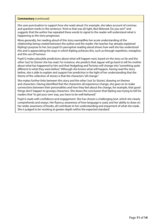**Commentary** (continued)

She uses punctuation to support how she reads aloud. For example, she takes account of commas and question marks in the sentence, "And so that was all right, Best Beloved. Do you see?" and suggests that the author has repeated these words to signal to the reader will understand what is happening as the story progresses.

More generally, her reading aloud of this story exemplifies her acute understanding of the relationship being created between the author and the reader. Her teacher has already explained Kipling's purpose to her, but pupil G's perceptive reading aloud shows how well she has understood this and is appreciating the ways in which Kipling achieves this, such as through repetition, metaphor, and the use of humour.

Pupil G makes plausible predictions about what will happen next, based on the story so far and the other 'Just So Stories' she has read. For instance, she predicts that Jaguar will go back to tell his mother about what has happened to him and that Hedgehog and Tortoise will change into "something quite different to what they were before." Although she knows what will happen, having read the story before, she is able to explain and support her prediction in the light of her understanding that the theme of the collection of stories is that the characters "all change."

She makes further links between this story and the other 'Just So Stories', drawing on themes and characters. Having identified that the characters all experience change, she goes on to make connections between their personalities and how they feel about the change, for example, that good things don't happen to grumpy characters. She draws the conclusion that Kipling was trying to tell his readers that "to get your own way, you have to be well-behaved."

Pupil G reads with confidence and engagement. She has chosen a challenging text, which she clearly comprehends and enjoys. Her fluency, awareness of how language is used, and her ability to draw on her wider awareness of books, all contribute to her understanding and enjoyment of what she reads. She is judged to be 'working at greater depth within the expected standard'.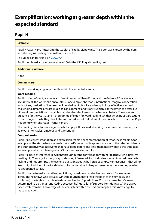## <span id="page-11-0"></span>**Exemplification: working at greater depth within the expected standard**

## **Pupil H**

| <b>Example</b>                                                                                                                                         |
|--------------------------------------------------------------------------------------------------------------------------------------------------------|
| Pupil H reads 'Harry Potter and the Goblet of Fire' by JK Rowling. This book was chosen by the pupil<br>and she begins reading from within chapter 23. |
| The video can be found on $GOV.UK.6$                                                                                                                   |
| Pupil H achieved a scaled score above 100 in the KS1 English reading test.                                                                             |
| <b>Additional evidence</b>                                                                                                                             |
| <b>None</b>                                                                                                                                            |
| <b>Commentary</b>                                                                                                                                      |

Pupil H is working at greater depth within the expected standard.

#### **Word reading**

Pupil H is a confident, accurate and fluent reader. In 'Harry Potter and the Goblet of Fire', she reads accurately all the words she encounters. For example, she reads 'international magical cooperation' without any hesitation. She uses her knowledge of phonics and morphology effectively to read challenging, unfamiliar words such as 'consignment' and 'Transylvanian'. For the latter, she tests out different pronunciations to match what she decodes to words she has read before. The notes and guidance for the years 3 and 4 programme of study for word reading say that when pupils are taught to read longer words, they should be supported to test out different pronunciations. This is what Pupil H is doing when she reads 'Transylvanian'.

The reading record notes longer words that pupil H has read, checking for sense when needed, such as 'pivotal', 'tentacles', 'amateur' and 'Cambridge'.

#### **Comprehension**

Pupil H's excellent intonation and expression reflect her comprehension of what she is reading, for example, at the start when she reads the word 'sneered' with appropriate scorn. She talks confidently and authoritatively about events that have gone before and links them more widely across the text, for example, when explaining what Viktor Krum was famous for.

Pupil H's grasp of inference is evident throughout the conversation with her teacher. Her expressive reading of "'You've got a funny way of showing it,' sneered Ron." indicates she has inferred how he is feeling, and this prompts the teacher's question about why Ron is so angry. Her response – that Viktor Krum might ask Hermione for detailed information about Harry – shows her understanding of what has happened earlier.

Pupil H is able to make plausible predictions, based on what she has read so far. For example, although she knows who actually wins the tournament ("I read the back of the film case," she confesses), she is able to explain in detail each of her 2 predictions: Viktor, because he is "always determined to do things" and Cedric because "he's got a lot of support from Hogwarts." She draws extensively from her knowledge of the characters within the text and applies this knowledge to make predictions.

<sup>6</sup> [http://www.gov.uk/government/publications/ks1-english-reading-exemplification-working-at-greater-depth-within-the](http://www.gov.uk/government/publications/ks1-english-reading-exemplification-working-at-greater-dep)[expected-standard](http://www.gov.uk/government/publications/ks1-english-reading-exemplification-working-at-greater-dep)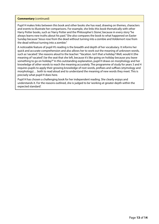**Commentary** (continued)

Pupil H makes links between this book and other books she has read, drawing on themes, characters and events to illustrate her comparisons. For example, she links this book thematically with other Harry Potter books, such as 'Harry Potter and the Philosopher's Stone', because in every story "he always learns new truths about his past." She also compares the book to what happened on Easter Sunday because "Jesus rose from the dead without turning into a zombie and Voldemort rose from the dead without turning into a zombie."

A noticeable feature of pupil H's reading is the breadth and depth of her vocabulary. It informs her quick and accurate comprehension and also allows her to work out the meaning of unknown words, such as 'vacated'. She reasons aloud to the teacher: ''Vacation. Isn't that a holiday? Well, would it (the meaning of 'vacated') be the seat that she left, because it's like going on holiday because you leave something to go on holiday?'' In this outstanding explanation, pupil H draws on morphology and her knowledge of other words to reach the meaning accurately. The programme of study for years 3 and 4 requires pupils to apply their growing knowledge of root words, prefixes and suffixes (etymology and morphology)… both to read aloud and to understand the meaning of new words they meet. This is precisely what pupil H does here.

Pupil H has chosen a challenging book for her independent reading. She clearly enjoys and understands it. For the reasons outlined, she is judged to be 'working at greater depth within the expected standard'.